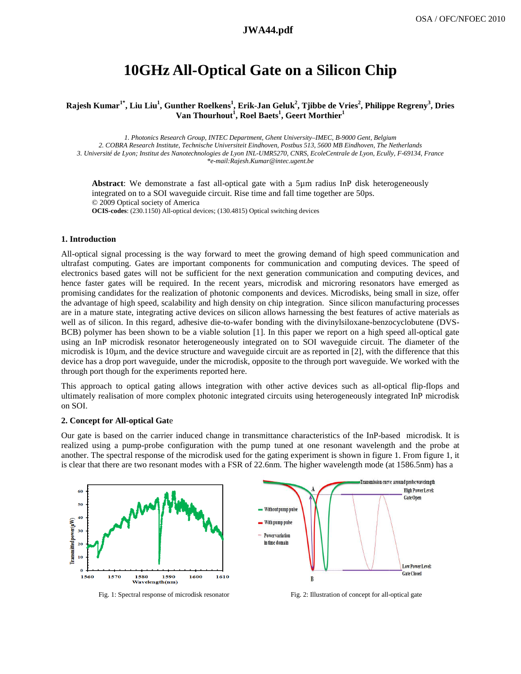# 10GHz All-Optical Gate on a Silicon Chip

### **Rajesh Kumar1\*, Liu Liu<sup>1</sup> , Gunther Roelkens 1 , Erik-Jan Geluk<sup>2</sup> , Tjibbe de Vries<sup>2</sup> , Philippe Regreny 3 , Dries Van Thourhout an <sup>1</sup> , Roel Baets<sup>1</sup> , Geert Morthier<sup>1</sup>**

*1. Photonics Research Group, INTEC Department, Ghent University–IMEC, B-9000 Gent, Belgium 2. COBRA Research Institute, Technische Universiteit Eindhoven, Postbus 513, 5600 MB Eindhoven, The Netherlands 3. Université de Lyon; Institut des Nanotechnologies de Lyon INL 3. de des INL-UMR5270, CNRS, EcoleCentrale de Lyon, Ecully, F 9000 lly, F-69134, France \*e-mail:Rajesh.Kumar@intec.ugent.be* 

Abstract: We demonstrate a fast all-optical gate with a 5um radius InP disk heterogeneously integrated on to a SOI waveguide circuit. Rise time and fall time together are 50ps. © 2009 Optical society of America OCIS-codes: (230.1150) All-optical devices; (130.4815) Optical switching devices

### **1. Introduction**

All-optical signal processing is the way forward to meet the growing demand of high speed communication and ultrafast computing. Gates are important components for communication and computing devices. The speed of ultrafast computing. Gates are important components for communication and computing devices. The speed of electronics based gates will not be sufficient for the next generation communication and computing devices, and hence faster gates will be required. In the recent years, microdisk and microring resonators have emerged as promising candidates for the realization of photonic components and devices. Microdisks, being small in size, offer the advantage of high speed, scalability and high density on chip integration. Since silicon manufacturing processes are in a mature state, integrating active devices on silicon allows harnessing the best features of active materials as well as of silicon. In this regard, adhesive die-to-wafer bonding with the divinylsiloxane-benzocyclobutene (DVS-BCB) polymer has been shown to be a viable solution [1]. In this paper we report on a high speed all-optical gate using an InP microdisk resonator heterogeneously integrated on to SOI waveguide circuit. The diameter of the microdisk is 10 $\mu$ m, and the device structure and waveguide circuit are as reported in [2], with the difference that this device has a drop port waveguide, under the microdisk, opposite to the through port waveguide. We worked with the through port though for the experiments reported here.

This approach to optical gating allows integration with other active devices such as all-optical flip-flops and ultimately realisation of more complex photonic integrated circuits using heterogeneously integrated InP microdisk on SOI.

### **2. Concept for All-optical Gat**e

Our gate is based on the carrier induced change in transmittance characteristics of the InP-based microdisk. It is realized using a pump-probe configuration with the pump tuned at one resonant wavelength and the probe at another. The spectral response of the microdisk used for the gating experiment is shown in figure 1. From figure 1, it is clear that there are two resonant modes with a FSR of 22.6nm. The higher wavelength mode (at 1586.5nm) has a



Fig. 1: Spectral response of microdisk resonator

Fig. 2: Illustration of concept for all-optical gate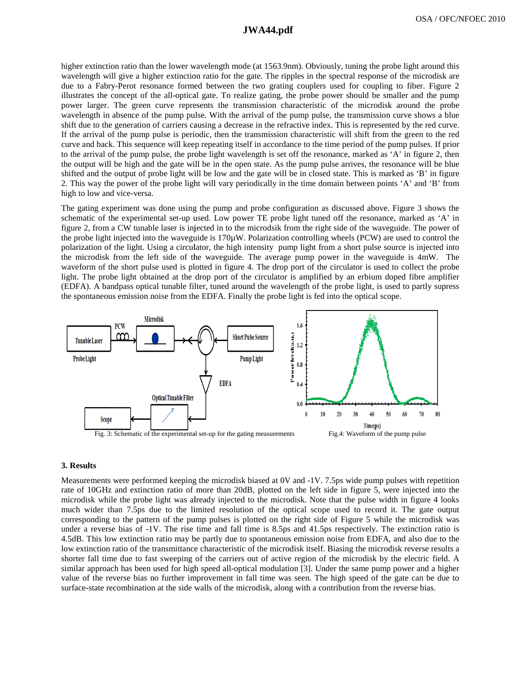# **a1294\_1.pdf JWA44.pdf**

higher extinction ratio than the lower wavelength mode (at 1563.9nm). Obviously, tuning the probe light around this wavelength will give a higher extinction ratio for the gate. The ripples in the spectral response of the microdisk are due to a Fabry-Perot resonance formed between the two grating couplers used for coupling to fiber. Figure 2 illustrates the concept of the all-optical gate. To realize gating, the probe power should be smaller and the pump power larger. The green curve represents the transmission characteristic of the microdisk around the probe wavelength in absence of the pump pulse. With the arrival of the pump pulse, the transmission curve shows a blue shift due to the generation of carriers causing a decrease in the refractive index. This is represented by the red curve. If the arrival of the pump pulse is periodic, then the transmission characteristic will shift from the green to the red curve and back. This sequence will keep repeating itself in accordance to the time period of the pump pulses. If prior to the arrival of the pump pulse, the probe light wavelength is set off the resonance, marked as 'A' in figure 2, then the output will be high and the gate will be in the open state. As the pump pulse arrives, the resonance will be blue shifted and the output of probe light will be low and the gate will be in closed state. This is marked as 'B' in figure 2. This way the power of the probe light will vary periodically in the time domain between points 'A' and 'B' from high to low and vice-versa.

The gating experiment was done using the pump and probe configuration as discussed above. Figure 3 shows the schematic of the experimental set-up used. Low power TE probe light tuned off the resonance, marked as 'A' in figure 2, from a CW tunable laser is injected in to the microdsik from the right side of the waveguide. The power of the probe light injected into the waveguide is  $170\mu$ W. Polarization controlling wheels (PCW) are used to control the polarization of the light. Using a circulator, the high intensity pump light from a short pulse source is injected into the microdisk from the left side of the waveguide. The average pump power in the waveguide is 4mW. The waveform of the short pulse used is plotted in figure 4. The drop port of the circulator is used to collect the probe light. The probe light obtained at the drop port of the circulator is amplified by an erbium doped fibre amplifier light. The probe light obtained at the drop port of the circulator is amplified by an erbium doped fibre amplifier (EDFA). A bandpass optical tunable filter, tuned around the wavelength of the probe light, is used to partl the spontaneous emission noise from the EDFA. Finally the probe light is fed into the optical scope.



#### **3. Results**

Measurements were performed keeping the microdisk biased at 0V and -1V. 7.5ps wide pump pulses with repetition rate of 10GHz and extinction ratio of more than 20dB, plotted on the left side in figure 5, were injected into the microdisk while the probe light was already injected to the microdisk. Note that the pulse width in figure 4 looks much wider than 7.5ps due to the limited resolution of the optical scope used to record it. The gate output corresponding to the pattern of the pump pulses is plotted on the right side of Figure 5 while the microdisk was under a reverse bias of  $-1V$ . The rise time and fall time is 8.5ps and 41.5ps respectively. The extinction ratio is 4.5dB. This low extinction ratio may be partly due to spontaneous emission noise from EDFA, and also due to the low extinction ratio of the transmittance characteristic of the microdisk itself. Biasing the microdisk reverse results a shorter fall time due to fast sweeping of the carriers out of active region of the microdisk by the electric field. A similar approach has been used for high speed all-optical modulation [3]. Under the same pump power and a higher value of the reverse bias no further improvement in fall time was seen. The high speed of the gate can be due to surface-state recombination at the side walls of the microdisk, along with a contribution from the reverse bias.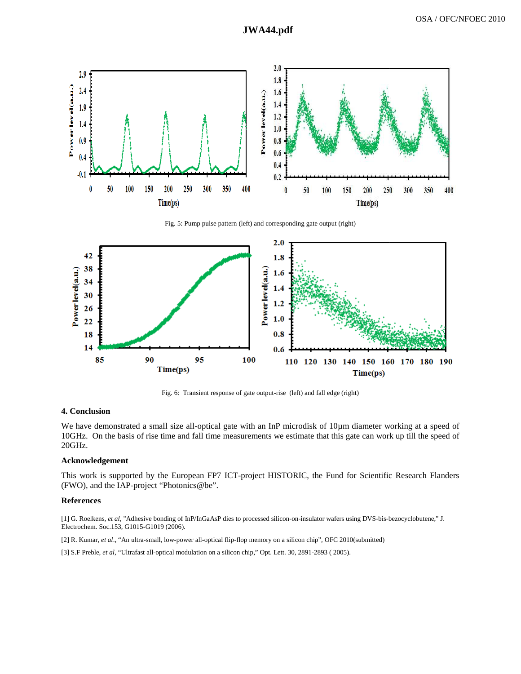

Fig. 5: Pump pulse pattern (left) and corresponding gate output (right)



Fig. 6: Transient response of gate output-rise (left) and fall edge (right)

## **4. Conclusion**

We have demonstrated a small size all-optical gate with an InP microdisk of  $10\mu$ m diameter working at a speed of 10GHz. On the basis of rise time and fall time measurements we estimate that this gate can work up till the speed of 20GHz.

### **Acknowledgement**

This work is supported by the European FP7 ICT-project HISTORIC, the Fund for Scientific Research Flanders (FWO), and the IAP-project "Photonics@be".

### **References**

[1] G. Roelkens, et al, "Adhesive bonding of InP/InGaAsP dies to processed silicon-on-insulator wafers using DVS-bis-bezocyclobutene," J. Electrochem. Soc.153, G1015-G1019 (2006).

[2] R. Kumar, et al., "An ultra-small, low-power all-optical flip-flop memory on a silicon chip", OFC 2010(submitted)

[3] S.F Preble, et al, "Ultrafast all-optical modulation on a silicon chip," Opt. Lett. 30, 2891-2893 ( 2005).